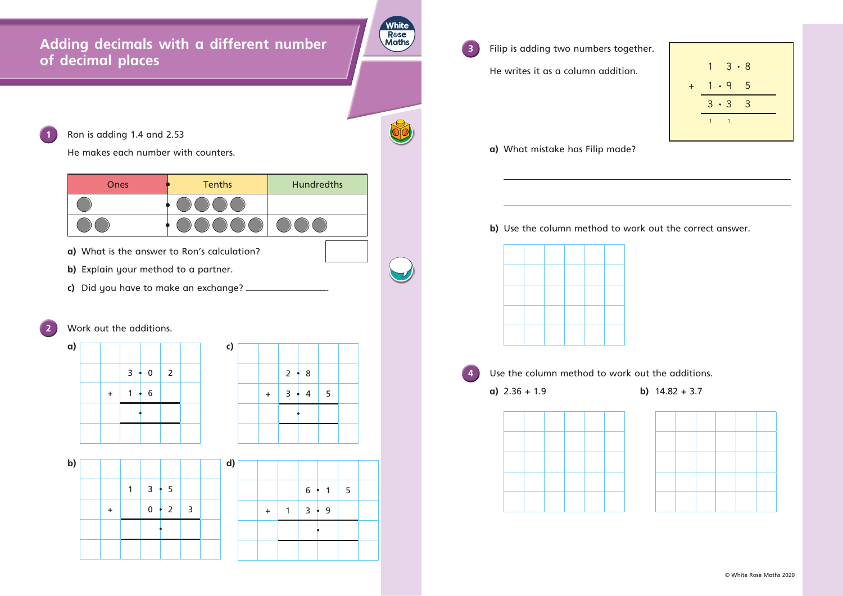## **Adding decimals with a different number of decimal places**

1 **Ron is adding 1.4 and 2.53** 

- **a)** What is the answer to Ron's calculation?
- **b)** Explain your method to a partner.
- **c)** Did you have to make an exchange? \_

He makes each number with counters.



**a) c)**  $3 \cdot 0$  2  $+ 1 \cdot 6$ 



 He writes it as a column addition.

**a)** What mistake has Filip made?

## **b)** Use the column method to work out the correct answer.



**4** Use the column method to work out the additions. **a)**  $2.36 + 1.9$  **b)**  $14.82 + 3.7$ 





© White Rose Maths 2020



|   |            | $6 \div 1$ | 5 |  |
|---|------------|------------|---|--|
| ÷ | $3 \div 9$ |            |   |  |
|   |            |            |   |  |
|   |            |            |   |  |



**3** Filip is adding two numbers together.